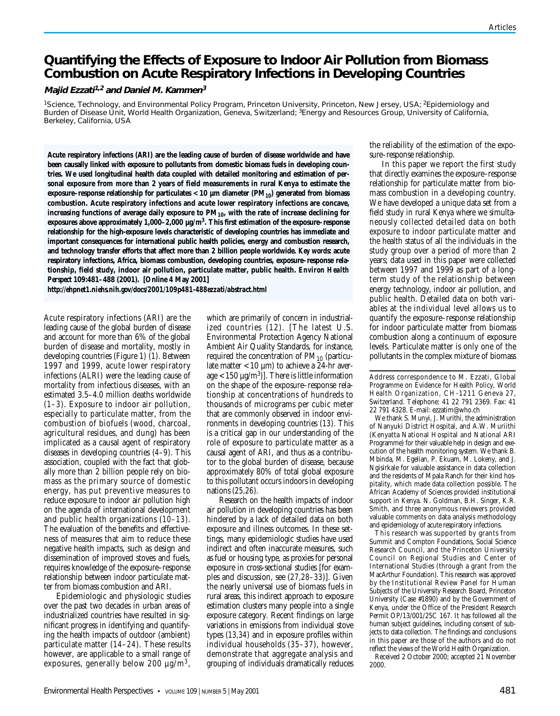# **Quantifying the Effects of Exposure to Indoor Air Pollution from Biomass Combustion on Acute Respiratory Infections in Developing Countries**

# **Majid Ezzati1,2 and Daniel M. Kammen<sup>3</sup>**

1Science, Technology, and Environmental Policy Program, Princeton University, Princeton, New Jersey, USA; 2Epidemiology and Burden of Disease Unit, World Health Organization, Geneva, Switzerland; 3Energy and Resources Group, University of California, Berkeley, California, USA

**Acute respiratory infections (ARI) are the leading cause of burden of disease worldwide and have been causally linked with exposure to pollutants from domestic biomass fuels in developing countries. We used longitudinal health data coupled with detailed monitoring and estimation of personal exposure from more than 2 years of field measurements in rural Kenya to estimate the** exposure–response relationship for particulates  $< 10 \mu m$  diameter  $(PM_{10})$  generated from biomass **combustion. Acute respiratory infections and acute lower respiratory infections are concave,** increasing functions of average daily exposure to PM<sub>10</sub>, with the rate of increase declining for **exposures above approximately 1,000–2,000 µg/m3. This first estimation of the exposure–response relationship for the high-exposure levels characteristic of developing countries has immediate and important consequences for international public health policies, energy and combustion research, and technology transfer efforts that affect more than 2 billion people worldwide.** *Key words***: acute respiratory infections, Africa, biomass combustion, developing countries, exposure–response relationship, field study, indoor air pollution, particulate matter, public health.** *Environ Health Perspect* **109:481–488 (2001). [Online 4 May 2001]**

*http://ehpnet1.niehs.nih.gov/docs/2001/109p481-488ezzati/abstract.html*

Acute respiratory infections (ARI) are the leading cause of the global burden of disease and account for more than 6% of the global burden of disease and mortality, mostly in developing countries (Figure 1) (*1*). Between 1997 and 1999, acute lower respiratory infections (ALRI) were the leading cause of mortality from infectious diseases, with an estimated 3.5–4.0 million deaths worldwide (*1–3*). Exposure to indoor air pollution, especially to particulate matter, from the combustion of biofuels (wood, charcoal, agricultural residues, and dung) has been implicated as a causal agent of respiratory diseases in developing countries (*4–9*). This association, coupled with the fact that globally more than 2 billion people rely on biomass as the primary source of domestic energy, has put preventive measures to reduce exposure to indoor air pollution high on the agenda of international development and public health organizations (*10–13*). The evaluation of the benefits and effectiveness of measures that aim to reduce these negative health impacts, such as design and dissemination of improved stoves and fuels, requires knowledge of the exposure–response relationship between indoor particulate matter from biomass combustion and ARI.

Epidemiologic and physiologic studies over the past two decades in urban areas of industrialized countries have resulted in significant progress in identifying and quantifying the health impacts of outdoor (ambient) particulate matter (*14–24*). These results however, are applicable to a small range of exposures, generally below 200  $\mu$ g/m<sup>3</sup>,

which are primarily of concern in industrialized countries (*12*). [The latest U.S. Environmental Protection Agency National Ambient Air Quality Standards, for instance, required the concentration of  $PM_{10}$  (particulate matter  $< 10 \mu m$ ) to achieve a 24-hr average  $< 150 \mu g/m^3$ ]. There is little information on the shape of the exposure–response relationship at concentrations of hundreds to thousands of micrograms per cubic meter that are commonly observed in indoor environments in developing countries (*13*). This is a critical gap in our understanding of the role of exposure to particulate matter as a causal agent of ARI, and thus as a contributor to the global burden of disease, because approximately 80% of total global exposure to this pollutant occurs indoors in developing nations (*25,26*).

Research on the health impacts of indoor air pollution in developing countries has been hindered by a lack of detailed data on both exposure and illness outcomes. In these settings, many epidemiologic studies have used indirect and often inaccurate measures, such as fuel or housing type, as proxies for personal exposure in cross-sectional studies [for examples and discussion, see (*27,28–33*)]. Given the nearly universal use of biomass fuels in rural areas, this indirect approach to exposure estimation clusters many people into a single exposure category. Recent findings on large variations in emissions from individual stove types (*13,34*) and in exposure profiles within individual households (*35–37*), however, demonstrate that aggregate analysis and grouping of individuals dramatically reduces

the reliability of the estimation of the exposure–response relationship.

In this paper we report the first study that directly examines the exposure–response relationship for particulate matter from biomass combustion in a developing country. We have developed a unique data set from a field study in rural Kenya where we simultaneously collected detailed data on both exposure to indoor particulate matter and the health status of all the individuals in the study group over a period of more than 2 years; data used in this paper were collected between 1997 and 1999 as part of a longterm study of the relationship between energy technology, indoor air pollution, and public health. Detailed data on both variables at the individual level allows us to quantify the exposure–response relationship for indoor particulate matter from biomass combustion along a continuum of exposure levels. Particulate matter is only one of the pollutants in the complex mixture of biomass

Address correspondence to M. Ezzati, Global Programme on Evidence for Health Policy, World Health Organization, CH-1211 Geneva 27, Switzerland. Telephone: 41 22 791 2369. Fax: 41 22 791 4328. E-mail: ezzatim@who.ch

We thank S. Munyi, J. Murithi, the administration of Nanyuki District Hospital, and A.W. Muriithi (Kenyatta National Hospital and National ARI Programme) for their valuable help in design and execution of the health monitoring system. We thank B. Mbinda, M. Egelian, P. Ekuam, M. Lokeny, and J. Ngisirkale for valuable assistance in data collection and the residents of Mpala Ranch for their kind hospitality, which made data collection possible. The African Academy of Sciences provided institutional support in Kenya. N. Goldman, B.H. Singer, K.R. Smith, and three anonymous reviewers provided valuable comments on data analysis methodology and epidemiology of acute respiratory infections.

This research was supported by grants from Summit and Compton Foundations, Social Science Research Council, and the Princeton University Council on Regional Studies and Center of International Studies (through a grant from the MacArthur Foundation). This research was approved by the Institutional Review Panel for Human Subjects of the University Research Board, Princeton University (Case #1890) and by the Government of Kenya, under the Office of the President Research Permit OP/13/001/25C 167. It has followed all the human subject guidelines, including consent of subjects to data collection. The findings and conclusions in this paper are those of the authors and do not reflect the views of the World Health Organization.

Received 2 October 2000; accepted 21 November 2000.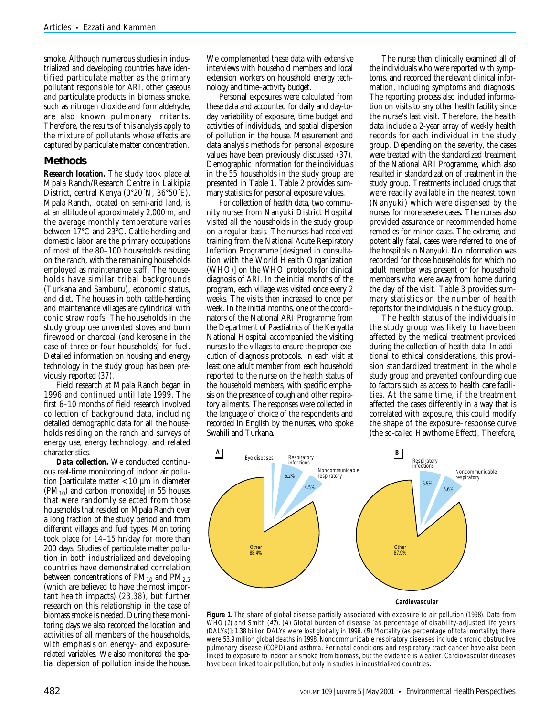smoke. Although numerous studies in industrialized and developing countries have identified particulate matter as the primary pollutant responsible for ARI, other gaseous and particulate products in biomass smoke, such as nitrogen dioxide and formaldehyde, are also known pulmonary irritants. Therefore, the results of this analysis apply to the mixture of pollutants whose effects are captured by particulate matter concentration.

# **Methods**

*Research location.* The study took place at Mpala Ranch/Research Centre in Laikipia District, central Kenya (0°20´N, 36°50´E). Mpala Ranch, located on semi-arid land, is at an altitude of approximately 2,000 m, and the average monthly temperature varies between 17°C and 23°C. Cattle herding and domestic labor are the primary occupations of most of the 80–100 households residing on the ranch, with the remaining households employed as maintenance staff. The households have similar tribal backgrounds (Turkana and Samburu), economic status, and diet. The houses in both cattle-herding and maintenance villages are cylindrical with conic straw roofs. The households in the study group use unvented stoves and burn firewood or charcoal (and kerosene in the case of three or four households) for fuel. Detailed information on housing and energy technology in the study group has been previously reported (*37*).

Field research at Mpala Ranch began in 1996 and continued until late 1999. The first 6–10 months of field research involved collection of background data, including detailed demographic data for all the households residing on the ranch and surveys of energy use, energy technology, and related characteristics.

*Data collection.* We conducted continuous real-time monitoring of indoor air pollution [particulate matter  $< 10 \mu m$  in diameter  $(PM_{10})$  and carbon monoxide] in 55 houses that were randomly selected from those households that resided on Mpala Ranch over a long fraction of the study period and from different villages and fuel types. Monitoring took place for 14–15 hr/day for more than 200 days. Studies of particulate matter pollution in both industrialized and developing countries have demonstrated correlation between concentrations of  $PM_{10}$  and  $PM_{2.5}$ (which are believed to have the most important health impacts) (*23,38*), but further research on this relationship in the case of biomass smoke is needed. During these monitoring days we also recorded the location and activities of all members of the households, with emphasis on energy- and exposurerelated variables. We also monitored the spatial dispersion of pollution inside the house.

We complemented these data with extensive interviews with household members and local extension workers on household energy technology and time–activity budget.

Personal exposures were calculated from these data and accounted for daily and day-today variability of exposure, time budget and activities of individuals, and spatial dispersion of pollution in the house. Measurement and data analysis methods for personal exposure values have been previously discussed (*37*). Demographic information for the individuals in the 55 households in the study group are presented in Table 1. Table 2 provides summary statistics for personal exposure values.

For collection of health data, two community nurses from Nanyuki District Hospital visited all the households in the study group on a regular basis. The nurses had received training from the National Acute Respiratory Infection Programme [designed in consultation with the World Health Organization (WHO)] on the WHO protocols for clinical diagnosis of ARI. In the initial months of the program, each village was visited once every 2 weeks. The visits then increased to once per week. In the initial months, one of the coordinators of the National ARI Programme from the Department of Paediatrics of the Kenyatta National Hospital accompanied the visiting nurses to the villages to ensure the proper execution of diagnosis protocols. In each visit at least one adult member from each household reported to the nurse on the health status of the household members, with specific emphasis on the presence of cough and other respiratory ailments. The responses were collected in the language of choice of the respondents and recorded in English by the nurses, who spoke Swahili and Turkana.

The nurse then clinically examined all of the individuals who were reported with symptoms, and recorded the relevant clinical information, including symptoms and diagnosis. The reporting process also included information on visits to any other health facility since the nurse's last visit. Therefore, the health data include a 2-year array of weekly health records for each individual in the study group. Depending on the severity, the cases were treated with the standardized treatment of the National ARI Programme, which also resulted in standardization of treatment in the study group. Treatments included drugs that were readily available in the nearest town (Nanyuki) which were dispensed by the nurses for more severe cases. The nurses also provided assurance or recommended home remedies for minor cases. The extreme, and potentially fatal, cases were referred to one of the hospitals in Nanyuki. No information was recorded for those households for which no adult member was present or for household members who were away from home during the day of the visit. Table 3 provides summary statistics on the number of health reports for the individuals in the study group.

The health status of the individuals in the study group was likely to have been affected by the medical treatment provided during the collection of health data. In additional to ethical considerations, this provision standardized treatment in the whole study group and prevented confounding due to factors such as access to health care facilities. At the same time, if the treatment affected the cases differently in a way that is correlated with exposure, this could modify the shape of the exposure–response curve (the so-called Hawthorne Effect). Therefore,



**Figure 1.** The share of global disease partially associated with exposure to air pollution (1998). Data from WHO (1) and Smith  $(47)$ . (A) Global burden of disease [as percentage of disability-adjusted life years (DALYs)]; 1.38 billion DALYs were lost globally in 1998. (B) Mortality (as percentage of total mortality); there were 53.9 million global deaths in 1998. Noncommunicable respiratory diseases include chronic obstructive pulmonary disease (COPD) and asthma. Perinatal conditions and respiratory tract cancer have also been linked to exposure to indoor air smoke from biomass, but the evidence is weaker. Cardiovascular diseases have been linked to air pollution, but only in studies in industrialized countries.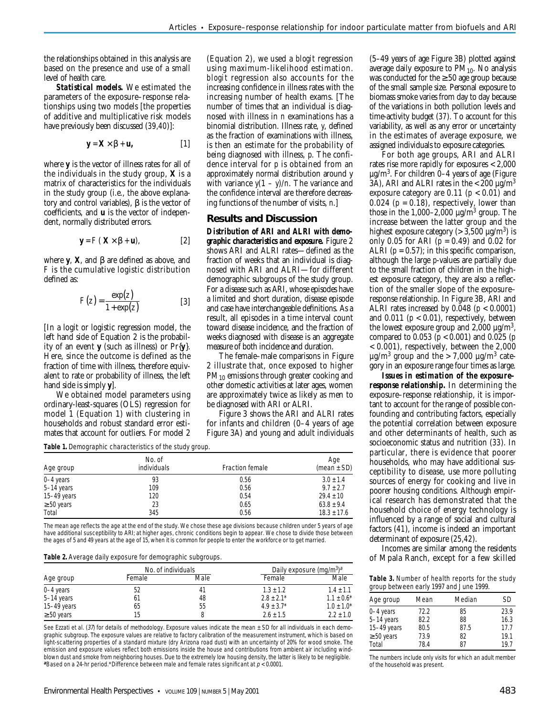the relationships obtained in this analysis are based on the presence and use of a small level of health care.

*Statistical models.* We estimated the parameters of the exposure–response relationships using two models [the properties of additive and multiplicative risk models have previously been discussed (*39,40*)]:

$$
\mathbf{y} = \mathbf{X} \times \boldsymbol{\beta} + \mathbf{u}, \qquad [1]
$$

where **y** is the vector of illness rates for all of the individuals in the study group, **X** is a matrix of characteristics for the individuals in the study group (i.e., the above explanatory and control variables), β is the vector of coefficients, and **u** is the vector of independent, normally distributed errors.

$$
\mathbf{y} = F(\mathbf{X} \times \boldsymbol{\beta} + \mathbf{u}), \qquad [2]
$$

where **y**, **X**, and β are defined as above, and *F* is the cumulative logistic distribution defined as:

$$
F(z) = \frac{\exp(z)}{1 + \exp(z)}\tag{3}
$$

[In a logit or logistic regression model, the left hand side of Equation 2 is the probability of an event **y** (such as illness) or Pr{**y**}. Here, since the outcome is defined as the fraction of time with illness, therefore equivalent to rate or probability of illness, the left hand side is simply **y**].

We obtained model parameters using ordinary-least-squares (OLS) regression for model 1 (Equation 1) with clustering in households and robust standard error estimates that account for outliers. For model 2

(Equation 2), we used a *blogit* regression using maximum-likelihood estimation. *blogit* regression also accounts for the increasing confidence in illness rates with the increasing number of health exams. [The number of times that an individual is diagnosed with illness in *n* examinations has a binomial distribution. Illness rate, *y*, defined as the fraction of examinations with illness, is then an estimate for the probability of being diagnosed with illness, *p*. The confidence interval for *p* is obtained from an approximately normal distribution around y with variance  $y(1 - y)/n$ . The variance and the confidence interval are therefore decreasing functions of the number of visits, *n*.]

# **Results and Discussion**

*Distribution of ARI and ALRI with demographic characteristics and exposure.* Figure 2 shows ARI and ALRI rates—defined as the fraction of weeks that an individual is diagnosed with ARI and ALRI—for different demographic subgroups of the study group. For a disease such as ARI, whose episodes have a limited and short duration, disease episode and case have interchangeable definitions. As a result, all episodes in a time interval count toward disease incidence, and the fraction of weeks diagnosed with disease is an aggregate measure of both incidence and duration.

The female–male comparisons in Figure 2 illustrate that, once exposed to higher PM<sub>10</sub> emissions through greater cooking and other domestic activities at later ages, women are approximately twice as likely as men to be diagnosed with ARI or ALRI.

Figure 3 shows the ARI and ALRI rates for infants and children (0–4 years of age Figure 3A) and young and adult individuals

**Table 1.** Demographic characteristics of the study group.

| Age group       | No. of<br>individuals | Fraction female | Age<br>(mean $\pm$ SD) |
|-----------------|-----------------------|-----------------|------------------------|
| $0-4$ years     | 93                    | 0.56            | $3.0 \pm 1.4$          |
| 5-14 years      | 109                   | 0.56            | $9.7 \pm 2.7$          |
| 15-49 years     | 120                   | 0.54            | $29.4 \pm 10$          |
| $\geq 50$ years | 23                    | 0.65            | $63.8 \pm 9.4$         |
| Total           | 345                   | 0.56            | $18.3 \pm 17.6$        |

The mean age reflects the age at the end of the study. We chose these age divisions because children under 5 years of age have additional susceptibility to ARI; at higher ages, chronic conditions begin to appear. We chose to divide those between the ages of 5 and 49 years at the age of 15, when it is common for people to enter the workforce or to get married.

**Table 2.** Average daily exposure for demographic subgroups.

|                 | No. of individuals |      | Daily exposure (mg/m <sup>3</sup> ) <sup>a</sup> |               |  |
|-----------------|--------------------|------|--------------------------------------------------|---------------|--|
| Age group       | Female             | Male | Female                                           | Male          |  |
| 0-4 years       | 52                 | 41   | $1.3 + 1.2$                                      | $1.4 + 1.1$   |  |
| 5-14 years      | 61                 | 48   | $2.8 + 2.1*$                                     | $1.1 + 0.6*$  |  |
| 15–49 years     | 65                 | 55   | $4.9 + 3.7*$                                     | $1.0 + 1.0*$  |  |
| $\geq 50$ years | 15                 |      | $2.6 \pm 1.5$                                    | $2.2 \pm 1.0$ |  |

See Ezzati et al. (37) for details of methodology. Exposure values indicate the mean ± SD for all individuals in each demographic subgroup. The exposure values are relative to factory calibration of the measurement instrument, which is based on light-scattering properties of a standard mixture (dry Arizona road dust) with an uncertainty of 20% for wood smoke. The emission and exposure values reflect both emissions inside the house and contributions from ambient air including windblown dust and smoke from neighboring houses. Due to the extremely low housing density, the latter is likely to be negligible. **<sup>a</sup>**Based on a 24-hr period.\*Difference between male and female rates significant at p < 0.0001.

(5–49 years of age Figure 3B) plotted against average daily exposure to  $PM_{10}$ . No analysis was conducted for the  $\geq$  50 age group because of the small sample size. Personal exposure to biomass smoke varies from day to day because of the variations in both pollution levels and time-activity budget (*37*). To account for this variability, as well as any error or uncertainty in the estimates of average exposure, we assigned individuals to exposure categories.

For both age groups, ARI and ALRI rates rise more rapidly for exposures < 2,000  $\mu$ g/m<sup>3</sup>. For children 0–4 years of age (Figure 3A), ARI and ALRI rates in the <  $200 \mu g/m^3$ exposure category are  $0.11$  ( $p < 0.01$ ) and 0.024 ( $p = 0.18$ ), respectively, lower than those in the  $1,000-2,000 \mu g/m^3$  group. The increase between the latter group and the highest exposure category ( $> 3,500 \mu g/m^3$ ) is only 0.05 for ARI (*p* = 0.49) and 0.02 for ALRI  $(p = 0.57)$ ; in this specific comparison, although the large *p*-values are partially due to the small fraction of children in the highest exposure category, they are also a reflection of the smaller slope of the exposure– response relationship. In Figure 3B, ARI and ALRI rates increased by 0.048 (*p* < 0.0001) and  $0.011$  ( $p < 0.01$ ), respectively, between the lowest exposure group and  $2,000 \mu g/m^3$ , compared to 0.053 (*p* < 0.001) and 0.025 (*p* < 0.001), respectively, between the 2,000  $\mu$ g/m<sup>3</sup> group and the > 7,000  $\mu$ g/m<sup>3</sup> category in an exposure range four times as large.

*Issues in estimation of the exposure– response relationship.* In determining the exposure–response relationship, it is important to account for the range of possible confounding and contributing factors, especially the potential correlation between exposure and other determinants of health, such as socioeconomic status and nutrition (*33*). In particular, there is evidence that poorer households, who may have additional susceptibility to disease, use more polluting sources of energy for cooking and live in poorer housing conditions. Although empirical research has demonstrated that the household choice of energy technology is influenced by a range of social and cultural factors (*41*), income is indeed an important determinant of exposure (*25,42*).

Incomes are similar among the residents of Mpala Ranch, except for a few skilled

|  |  |  | Table 3. Number of health reports for the study |  |  |
|--|--|--|-------------------------------------------------|--|--|
|  |  |  | group between early 1997 and June 1999.         |  |  |

| Age group       | Mean | Median | SD   |
|-----------------|------|--------|------|
| $0-4$ years     | 72.2 | 85     | 23.9 |
| 5-14 years      | 822  | 88     | 16.3 |
| 15-49 years     | 80.5 | 87.5   | 177  |
| $\geq 50$ years | 73.9 | 82     | 19.1 |
| Total           | 78.4 | 87     | 197  |

The numbers include only visits for which an adult member of the household was present.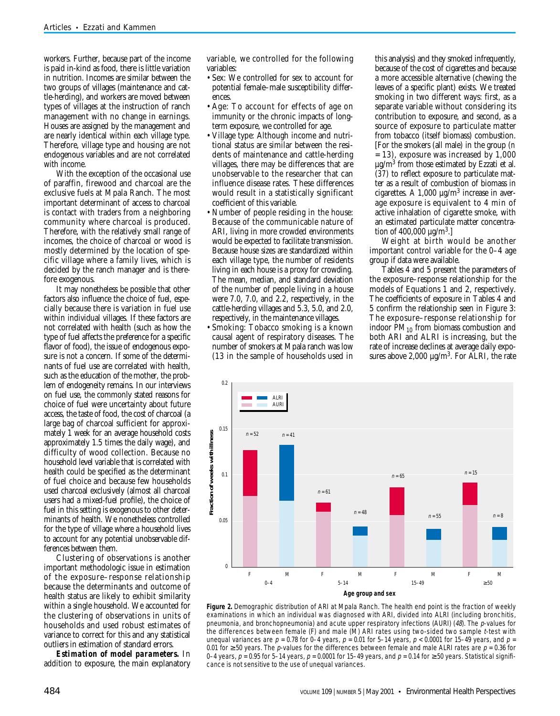workers. Further, because part of the income is paid in-kind as food, there is little variation in nutrition. Incomes are similar between the two groups of villages (maintenance and cattle-herding), and workers are moved between types of villages at the instruction of ranch management with no change in earnings. Houses are assigned by the management and are nearly identical within each village type. Therefore, village type and housing are not endogenous variables and are not correlated with income.

With the exception of the occasional use of paraffin, firewood and charcoal are the exclusive fuels at Mpala Ranch. The most important determinant of access to charcoal is contact with traders from a neighboring community where charcoal is produced. Therefore, with the relatively small range of incomes, the choice of charcoal or wood is mostly determined by the location of specific village where a family lives, which is decided by the ranch manager and is therefore exogenous.

It may nonetheless be possible that other factors also influence the choice of fuel, especially because there is variation in fuel use within individual villages. If these factors are not correlated with health (such as how the type of fuel affects the preference for a specific flavor of food), the issue of endogenous exposure is not a concern. If some of the determinants of fuel use are correlated with health, such as the education of the mother, the problem of endogeneity remains. In our interviews on fuel use, the commonly stated reasons for choice of fuel were uncertainty about future access, the taste of food, the cost of charcoal (a large bag of charcoal sufficient for approximately 1 week for an average household costs approximately 1.5 times the daily wage), and difficulty of wood collection. Because no household level variable that is correlated with health could be specified as the determinant of fuel choice and because few households used charcoal exclusively (almost all charcoal users had a mixed-fuel profile), the choice of fuel in this setting is exogenous to other determinants of health. We nonetheless controlled for the type of village where a household lives to account for any potential unobservable differences between them.

Clustering of observations is another important methodologic issue in estimation of the exposure–response relationship because the determinants and outcome of health status are likely to exhibit similarity within a single household. We accounted for the clustering of observations in units of households and used robust estimates of variance to correct for this and any statistical outliers in estimation of standard errors.

*Estimation of model parameters.* In addition to exposure, the main explanatory

variable, we controlled for the following variables:

- Sex: We controlled for sex to account for potential female–male susceptibility differences.
- Age: To account for effects of age on immunity or the chronic impacts of longterm exposure, we controlled for age.
- Village type: Although income and nutritional status are similar between the residents of maintenance and cattle-herding villages, there may be differences that are unobservable to the researcher that can influence disease rates. These differences would result in a statistically significant coefficient of this variable.
- Number of people residing in the house: Because of the communicable nature of ARI, living in more crowded environments would be expected to facilitate transmission. Because house sizes are standardized within each village type, the number of residents living in each house is a proxy for crowding. The mean, median, and standard deviation of the number of people living in a house were 7.0, 7.0, and 2.2, respectively, in the cattle-herding villages and 5.3, 5.0, and 2.0, respectively, in the maintenance villages.
- Smoking: Tobacco smoking is a known causal agent of respiratory diseases. The number of smokers at Mpala ranch was low (13 in the sample of households used in

this analysis) and they smoked infrequently, because of the cost of cigarettes and because a more accessible alternative (chewing the leaves of a specific plant) exists. We treated smoking in two different ways: first, as a separate variable without considering its contribution to exposure, and second, as a source of exposure to particulate matter from tobacco (itself biomass) combustion. [For the smokers (all male) in the group (*n*  $= 13$ ), exposure was increased by 1,000  $\mu$ g/m<sup>3</sup> from those estimated by Ezzati et al. (*37*) to reflect exposure to particulate matter as a result of combustion of biomass in cigarettes. A 1,000  $\mu$ g/m<sup>3</sup> increase in average exposure is equivalent to 4 min of active inhalation of cigarette smoke, with an estimated particulate matter concentration of 400,000  $\mu$ g/m<sup>3</sup>.]

Weight at birth would be another important control variable for the 0–4 age group if data were available.

Tables 4 and 5 present the parameters of the exposure–response relationship for the models of Equations 1 and 2, respectively. The coefficients of exposure in Tables 4 and 5 confirm the relationship seen in Figure 3: The exposure–response relationship for indoor  $\text{PM}_{10}$  from biomass combustion and both ARI and ALRI is increasing, but the rate of increase declines at average daily exposures above 2,000  $\mu$ g/m<sup>3</sup>. For ALRI, the rate



**Figure 2.** Demographic distribution of ARI at Mpala Ranch. The health end point is the fraction of weekly examinations in which an individual was diagnosed with ARI, divided into ALRI (including bronchitis, pneumonia, and bronchopneumonia) and acute upper respiratory infections (AURI) (48). The p-values for the differences between female (F) and male (M) ARI rates using two-sided two sample t-test with unequal variances are  $p = 0.78$  for 0–4 years,  $p = 0.01$  for 5–14 years,  $p < 0.0001$  for 15–49 years, and  $p = 0.01$ 0.01 for ≥ 50 years. The p-values for the differences between female and male ALRI rates are  $p = 0.36$  for 0–4 years,  $p = 0.95$  for 5–14 years,  $p = 0.0001$  for 15–49 years, and  $p = 0.14$  for  $\geq$  50 years. Statistical significance is not sensitive to the use of unequal variances.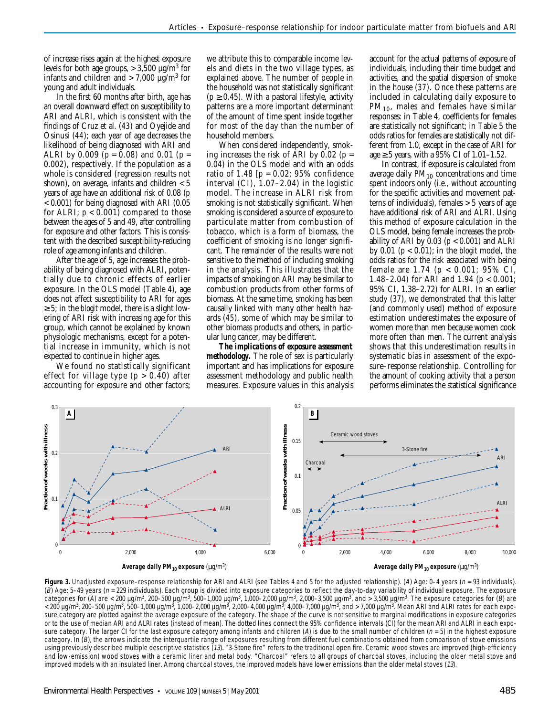of increase rises again at the highest exposure levels for both age groups,  $> 3,500 \mu g/m^3$  for infants and children and  $>$  7,000  $\mu$ g/m<sup>3</sup> for young and adult individuals.

In the first 60 months after birth, age has an overall downward effect on susceptibility to ARI and ALRI, which is consistent with the findings of Cruz et al. (*43*) and Oyejide and Osinusi (*44*); each year of age decreases the likelihood of being diagnosed with ARI and ALRI by 0.009 ( $p = 0.08$ ) and 0.01 ( $p =$ 0.002), respectively. If the population as a whole is considered (regression results not shown), on average, infants and children < 5 years of age have an additional risk of 0.08 (*p* < 0.001) for being diagnosed with ARI (0.05 for ALRI;  $p < 0.001$ ) compared to those between the ages of 5 and 49, after controlling for exposure and other factors. This is consistent with the described susceptibility-reducing role of age among infants and children.

After the age of 5, age increases the probability of being diagnosed with ALRI, potentially due to chronic effects of earlier exposure. In the OLS model (Table 4), age does not affect susceptibility to ARI for ages ≥ 5; in the *blogit* model, there is a slight lowering of ARI risk with increasing age for this group, which cannot be explained by known physiologic mechanisms, except for a potential increase in immunity, which is not expected to continue in higher ages.

We found no statistically significant effect for village type (*p* > 0.40) after accounting for exposure and other factors; we attribute this to comparable income levels and diets in the two village types, as explained above. The number of people in the household was not statistically significant  $(p \geq 0.45)$ . With a pastoral lifestyle, activity patterns are a more important determinant of the amount of time spent inside together for most of the day than the number of household members.

When considered independently, smoking increases the risk of ARI by  $0.02$  ( $p =$ 0.04) in the OLS model and with an odds ratio of 1.48  $[p = 0.02; 95\%$  confidence interval (CI), 1.07–2.04) in the logistic model. The increase in ALRI risk from smoking is not statistically significant. When smoking is considered a source of exposure to particulate matter from combustion of tobacco, which is a form of biomass, the coefficient of smoking is no longer significant. The remainder of the results were not sensitive to the method of including smoking in the analysis. This illustrates that the impacts of smoking on ARI may be similar to combustion products from other forms of biomass. At the same time, smoking has been causally linked with many other health hazards (*45*), some of which may be similar to other biomass products and others, in particular lung cancer, may be different.

*The implications of exposure assessment methodology.* The role of sex is particularly important and has implications for exposure assessment methodology and public health measures. Exposure values in this analysis account for the actual patterns of exposure of individuals, including their time budget and activities, and the spatial dispersion of smoke in the house (*37*). Once these patterns are included in calculating daily exposure to  $PM_{10}$ , males and females have similar responses: in Table 4, coefficients for females are statistically not significant; in Table 5 the odds ratios for females are statistically not different from 1.0, except in the case of ARI for age ≥ 5 years, with a 95% CI of 1.01–1.52.

In contrast, if exposure is calculated from average daily  $PM_{10}$  concentrations and time spent indoors only (i.e., without accounting for the specific activities and movement patterns of individuals), females > 5 years of age have additional risk of ARI and ALRI. Using this method of exposure calculation in the OLS model, being female increases the probability of ARI by  $0.03$  ( $p < 0.001$ ) and ALRI by 0.01 (*p* < 0.01); in the *blogit* model, the odds ratios for the risk associated with being female are 1.74 (*p* < 0.001; 95% CI, 1.48–2.04) for ARI and 1.94 (*p* < 0.001; 95% CI, 1.38–2.72) for ALRI. In an earlier study (*37*), we demonstrated that this latter (and commonly used) method of exposure estimation underestimates the exposure of women more than men because women cook more often than men. The current analysis shows that this underestimation results in systematic bias in assessment of the exposure–response relationship. Controlling for the amount of cooking activity that a person performs eliminates the statistical significance



Figure 3. Unadjusted exposure–response relationship for ARI and ALRI (see Tables 4 and 5 for the adjusted relationship). (A) Age: 0-4 years (n = 93 individuals). (B) Age: 5–49 years (<sup>n</sup> = 229 individuals). Each group is divided into exposure categories to reflect the day-to-day variability of individual exposure. The exposure categories for (A) are < 200 µg/m<sup>3</sup>, 200–500 µg/m<sup>3</sup>, 500–1,000 µg/m<sup>3</sup>, 1,000–2,000 µg/m<sup>3</sup>, 2,000–3,500 µg/m<sup>3</sup>, and > 3,500 µg/m<sup>3</sup>. The exposure categories for (B) are  $<$  200 µg/m $^3$ , 200–500 µg/m $^3$ , 500–1,000 µg/m $^3$ , 1,000–2,000 µg/m $^3$ , 2,000–4,000 µg/m $^3$ , 4,000–7,000 µg/m $^3$ , and > 7,000 µg/m $^3$ . Mean ARI and ALRI rates for each exposure category are plotted against the average exposure of the category. The shape of the curve is not sensitive to marginal modifications in exposure categories or to the use of median ARI and ALRI rates (instead of mean). The dotted lines connect the 95% confidence intervals (CI) for the mean ARI and ALRI in each exposure category. The larger CI for the last exposure category among infants and children  $(A)$  is due to the small number of children  $(n = 5)$  in the highest exposure category. In (B), the arrows indicate the interquartile range of exposures resulting from different fuel combinations obtained from comparison of stove emissions using previously described multiple descriptive statistics (13). "3-Stone fire" refers to the traditional open fire. Ceramic wood stoves are improved (high-efficiency and low-emission) wood stoves with a ceramic liner and metal body. "Charcoal" refers to all groups of charcoal stoves, including the older metal stove and improved models with an insulated liner. Among charcoal stoves, the improved models have lower emissions than the older metal stoves (13).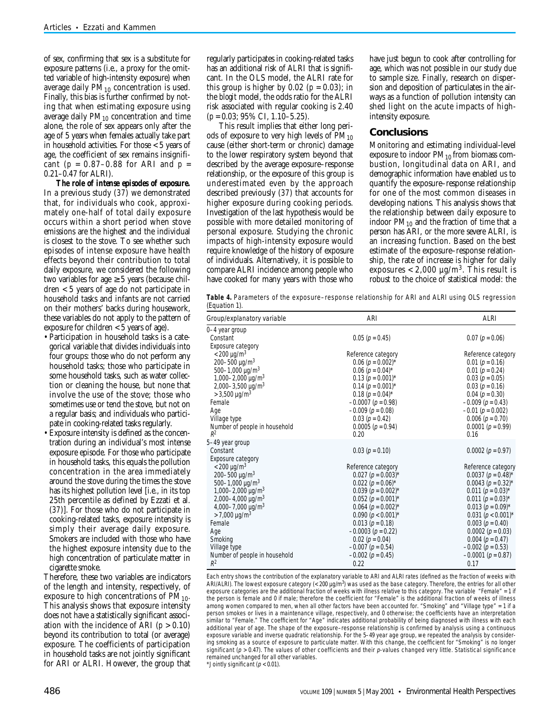of sex, confirming that sex is a substitute for exposure patterns (i.e., a proxy for the omitted variable of high-intensity exposure) when average daily  $PM_{10}$  concentration is used. Finally, this bias is further confirmed by noting that when estimating exposure using average daily  $PM_{10}$  concentration and time alone, the role of sex appears only after the age of 5 years when females actually take part in household activities. For those < 5 years of age, the coefficient of sex remains insignificant ( $p = 0.87 - 0.88$  for ARI and  $p =$ 0.21–0.47 for ALRI).

*The role of intense episodes of exposure.* In a previous study (*37*) we demonstrated that, for individuals who cook, approximately one-half of total daily exposure occurs within a short period when stove emissions are the highest and the individual is closest to the stove. To see whether such episodes of intense exposure have health effects beyond their contribution to total daily exposure, we considered the following two variables for age  $\geq$  5 years (because children < 5 years of age do not participate in household tasks and infants are not carried on their mothers' backs during housework, these variables do not apply to the pattern of exposure for children < 5 years of age).

- Participation in household tasks is a categorical variable that divides individuals into four groups: those who do not perform any household tasks; those who participate in some household tasks, such as water collection or cleaning the house, but none that involve the use of the stove; those who sometimes use or tend the stove, but not on a regular basis; and individuals who participate in cooking-related tasks regularly.
- Exposure intensity is defined as the concentration during an individual's most intense exposure episode. For those who participate in household tasks, this equals the pollution concentration in the area immediately around the stove during the times the stove has its highest pollution level [i.e., in its top 25th percentile as defined by Ezzati et al. (*37*)]. For those who do not participate in cooking-related tasks, exposure intensity is simply their average daily exposure. Smokers are included with those who have the highest exposure intensity due to the high concentration of particulate matter in cigarette smoke.

Therefore, these two variables are indicators of the length and intensity, respectively, of exposure to high concentrations of  $PM_{10}$ . This analysis shows that exposure intensity does not have a statistically significant association with the incidence of ARI ( $p > 0.10$ ) beyond its contribution to total (or average) exposure. The coefficients of participation in household tasks are not jointly significant for ARI or ALRI. However, the group that

regularly participates in cooking-related tasks has an additional risk of ALRI that is significant. In the OLS model, the ALRI rate for this group is higher by  $0.02$  ( $p = 0.03$ ); in the *blogit* model, the odds ratio for the ALRI risk associated with regular cooking is 2.40 (*p* = 0.03; 95% CI, 1.10–5.25).

This result implies that either long periods of exposure to very high levels of  $PM_{10}$ cause (either short-term or chronic) damage to the lower respiratory system beyond that described by the average exposure–response relationship, or the exposure of this group is underestimated even by the approach described previously (*37*) that accounts for higher exposure during cooking periods. Investigation of the last hypothesis would be possible with more detailed monitoring of personal exposure. Studying the chronic impacts of high-intensity exposure would require knowledge of the history of exposure of individuals. Alternatively, it is possible to compare ALRI incidence among people who have cooked for many years with those who have just begun to cook after controlling for age, which was not possible in our study due to sample size. Finally, research on dispersion and deposition of particulates in the airways as a function of pollution intensity can shed light on the acute impacts of highintensity exposure.

## **Conclusions**

Monitoring and estimating individual-level exposure to indoor  $PM_{10}$  from biomass combustion, longitudinal data on ARI, and demographic information have enabled us to quantify the exposure–response relationship for one of the most common diseases in developing nations. This analysis shows that the relationship between daily exposure to indoor  $PM_{10}$  and the fraction of time that a person has ARI, or the more severe ALRI, is an increasing function. Based on the best estimate of the exposure–response relationship, the rate of increase is higher for daily exposures < 2,000  $\mu$ g/m<sup>3</sup>. This result is robust to the choice of statistical model: the

**Table 4.** Parameters of the exposure–response relationship for ARI and ALRI using OLS regression (Equation 1).

| Group/explanatory variable             | ARI                             | ALRI                                            |
|----------------------------------------|---------------------------------|-------------------------------------------------|
| 0-4 year group                         |                                 |                                                 |
| Constant                               | $0.05(p = 0.45)$                | $0.07(p = 0.06)$                                |
| Exposure category                      |                                 |                                                 |
| $< 200 \mu g/m^3$                      | Reference category              | Reference category                              |
| 200-500 $\mu$ g/m <sup>3</sup>         | $0.06(p = 0.002)^{*}$           | $0.01 (p = 0.16)$                               |
| 500-1,000 $\mu$ g/m <sup>3</sup>       | $0.06(p = 0.04)^*$              | $0.01(p = 0.24)$                                |
| $1,000 - 2,000 \,\mu g/m^3$            | $0.13(p = 0.001)^{*}$           | $0.03(p = 0.05)$                                |
| $2,000 - 3,500 \,\mu g/m^3$            | $0.14$ ( $p = 0.001$ )*         | $0.03 (p = 0.16)$                               |
| $> 3,500 \mu g/m3$                     | $0.18(p = 0.04)^*$              | $0.04 (p = 0.30)$                               |
| Female                                 | $-0.0007$ ( $p = 0.98$ )        | $-0.009(p = 0.43)$                              |
| Age                                    | $-0.009$ ( $p = 0.08$ )         | $-0.01$ ( $p = 0.002$ )                         |
| Village type                           | $0.03 (p = 0.42)$               | $0.006 (p = 0.70)$                              |
| Number of people in household          | $0.0005 (p = 0.94)$             | $0.0001 (p = 0.99)$                             |
| $R^2$                                  | 0.20                            | 0.16                                            |
| 5–49 year group                        |                                 |                                                 |
| Constant                               | $0.03(p = 0.10)$                | $0.0002 (p = 0.97)$                             |
| Exposure category                      |                                 |                                                 |
| $< 200 \mu q/m^3$                      | Reference category              | Reference category                              |
| $200 - 500 \mu g/m^3$                  | $0.027 (p = 0.003)^*$           | $0.0037 (p = 0.48)^*$                           |
| 500-1,000 µg/m <sup>3</sup>            | $0.022 (p = 0.06)^*$            | $0.0043 (p = 0.32)^*$                           |
| 1,000-2,000 $\mu$ g/m <sup>3</sup>     | $0.039 (p = 0.002)^*$           | $0.011 (p = 0.03)^*$                            |
| $2,000 - 4,000 \,\mu g/m^3$            | $0.052(p = 0.001)^{*}$          | $0.011 (p = 0.03)^*$                            |
| 4,000-7,000 $\mu$ g/m <sup>3</sup>     | $0.064 (p = 0.002)^*$           | $0.013 (p = 0.09)^*$                            |
| $>$ 7,000 µg/m <sup>3</sup>            | $0.090 (p < 0.001)^*$           | $0.031 (p < 0.001)^*$                           |
| Female                                 | $0.013 (p = 0.18)$              | $0.003 (p = 0.40)$                              |
| Age                                    | $-0.0003 (p = 0.22)$            | $0.0002 (p = 0.03)$                             |
| Smoking                                | $0.02(p = 0.04)$                | $0.004 (p = 0.47)$                              |
| Village type                           | $-0.007$ ( $p = 0.54$ )         | $-0.002$ ( $p = 0.53$ )<br>$-0.0001 (p = 0.87)$ |
| Number of people in household<br>$R^2$ | $-0.002$ ( $p = 0.45$ )<br>0.22 | 0.17                                            |
|                                        |                                 |                                                 |

Each entry shows the contribution of the explanatory variable to ARI and ALRI rates (defined as the fraction of weeks with ARI/ALRI). The lowest exposure category (< 200 µg/m<sup>3</sup>) was used as the base category. Therefore, the entries for all other exposure categories are the additional fraction of weeks with illness relative to this category. The variable "Female" = 1 if the person is female and 0 if male; therefore the coefficient for "Female" is the additional fraction of weeks of illness among women compared to men, when all other factors have been accounted for. "Smoking" and "Village type" = 1 if a person smokes or lives in a maintenance village, respectively, and 0 otherwise; the coefficients have an interpretation similar to "Female." The coefficient for "Age" indicates additional probability of being diagnosed with illness with each additional year of age. The shape of the exposure–response relationship is confirmed by analysis using a continuous exposure variable and inverse quadratic relationship. For the 5–49 year age group, we repeated the analysis by considering smoking as a source of exposure to particulate matter. With this change, the coefficient for "Smoking" is no longer significant  $(p > 0.47)$ . The values of other coefficients and their  $p$ -values changed very little. Statistical significance remained unchanged for all other variables.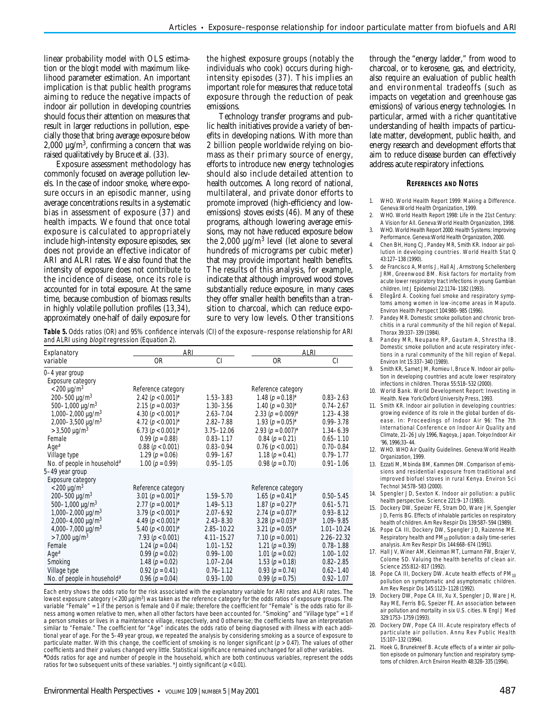linear probability model with OLS estimation or the *blogit* model with maximum likelihood parameter estimation. An important implication is that public health programs aiming to reduce the negative impacts of indoor air pollution in developing countries should focus their attention on measures that result in larger reductions in pollution, especially those that bring average exposure below 2,000  $\mu$ g/m<sup>3</sup>, confirming a concern that was raised qualitatively by Bruce et al. (*33*).

Exposure assessment methodology has commonly focused on average pollution levels. In the case of indoor smoke, where exposure occurs in an episodic manner, using average concentrations results in a systematic bias in assessment of exposure (*37*) and health impacts. We found that once total exposure is calculated to appropriately include high-intensity exposure episodes, sex does not provide an effective indicator of ARI and ALRI rates. We also found that the intensity of exposure does not contribute to the incidence of disease, once its role is accounted for in total exposure. At the same time, because combustion of biomass results in highly volatile pollution profiles (*13,34*), approximately one-half of daily exposure for

the highest exposure groups (notably the individuals who cook) occurs during highintensity episodes (*37*). This implies an important role for measures that reduce total exposure through the reduction of peak emissions.

Technology transfer programs and public health initiatives provide a variety of benefits in developing nations. With more than 2 billion people worldwide relying on biomass as their primary source of energy, efforts to introduce new energy technologies should also include detailed attention to health outcomes. A long record of national, multilateral, and private donor efforts to promote improved (high-efficiency and lowemissions) stoves exists (*46*). Many of these programs, although lowering average emissions, may not have reduced exposure below the 2,000  $\mu$ g/m<sup>3</sup> level (let alone to several hundreds of micrograms per cubic meter) that may provide important health benefits. The results of this analysis, for example, indicate that although improved wood stoves substantially reduce exposure, in many cases they offer smaller health benefits than a transition to charcoal, which can reduce exposure to very low levels. Other transitions

**Table 5.** Odds ratios (OR) and 95% confidence intervals (CI) of the exposure–response relationship for ARI and ALRI using blogit regression (Equation 2).

| Explanatory                             | ari                   |                | <b>ALRI</b>           |                |  |
|-----------------------------------------|-----------------------|----------------|-----------------------|----------------|--|
| variable                                | 0R                    | CI             | 0R                    | CI             |  |
| 0-4 year group                          |                       |                |                       |                |  |
| Exposure category                       |                       |                |                       |                |  |
| $< 200 \mu g/m^3$                       | Reference category    |                | Reference category    |                |  |
| $200 - 500 \mu q/m^3$                   | 2.42 $(p < 0.001)^*$  | $1.53 - 3.83$  | 1.48 $(p = 0.18)^*$   | $0.83 - 2.63$  |  |
| $500 - 1,000 \mu g/m^3$                 | 2.15 $(p = 0.003)^*$  | $1.30 - 3.56$  | 1.40 $(p = 0.30)^*$   | $0.74 - 2.67$  |  |
| 1,000-2,000 $\mu$ g/m <sup>3</sup>      | 4.30 $(p < 0.001)^*$  | $2.63 - 7.04$  | 2.33 ( $p = 0.009$ )* | $1.23 - 4.38$  |  |
| $2,000 - 3,500 \mu g/m^3$               | 4.72 $(p < 0.001)^*$  | $2.82 - 7.88$  | 1.93 $(p = 0.05)^*$   | $0.99 - 3.78$  |  |
| $>$ 3,500 µg/m <sup>3</sup>             | 6.73 ( $p < 0.001$ )* | 3.75-12.06     | 2.93 ( $p = 0.007$ )* | $1.34 - 6.39$  |  |
| Female                                  | $0.99(p = 0.88)$      | $0.83 - 1.17$  | $0.84(p = 0.21)$      | $0.65 - 1.10$  |  |
| $Aq e^a$                                | 0.88(p < 0.001)       | $0.83 - 0.94$  | 0.76 (p < 0.001)      | $0.70 - 0.84$  |  |
| Village type                            | 1.29 ( $p = 0.06$ )   | $0.99 - 1.67$  | 1.18 ( $p = 0.41$ )   | $0.79 - 1.77$  |  |
| No. of people in household <sup>a</sup> | 1.00 ( $p = 0.99$ )   | $0.95 - 1.05$  | $0.98(p = 0.70)$      | $0.91 - 1.06$  |  |
| 5-49 year group                         |                       |                |                       |                |  |
| Exposure category                       |                       |                |                       |                |  |
| $< 200 \mu q/m^3$                       | Reference category    |                | Reference category    |                |  |
| 200-500 $\mu$ g/m <sup>3</sup>          | 3.01 ( $p = 0.001$ )* | $1.59 - 5.70$  | 1.65 $(p = 0.41)^*$   | $0.50 - 5.45$  |  |
| $500 - 1,000 \mu q/m^3$                 | 2.77 ( $p = 0.001$ )* | $1.49 - 5.13$  | 1.87 $(p = 0.27)^*$   | $0.61 - 5.71$  |  |
| $1,000 - 2,000 \mu g/m^3$               | 3.79 ( $p < 0.001$ )* | $2.07 - 6.92$  | 2.74 $(p = 0.07)^*$   | $0.93 - 8.12$  |  |
| $2,000 - 4,000 \,\mu g/m^3$             | 4.49 $(p < 0.001)^*$  | $2.43 - 8.30$  | 3.28 $(p = 0.03)^*$   | $1.09 - 9.85$  |  |
| 4,000-7,000 $\mu$ g/m <sup>3</sup>      | 5.40 ( $p < 0.001$ )* | $2.85 - 10.22$ | 3.21 ( $p = 0.05$ )*  | $1.01 - 10.24$ |  |
| $>$ 7,000 µg/m <sup>3</sup>             | 7.93 ( $p < 0.001$ )  | $4.11 - 15.27$ | 7.10 ( $p = 0.001$ )  | $2.26 - 22.32$ |  |
| Female                                  | 1.24 $(p = 0.04)$     | $1.01 - 1.52$  | 1.21 ( $p = 0.39$ )   | $0.78 - 1.88$  |  |
| Age <sup>a</sup>                        | $0.99(p = 0.02)$      | $0.99 - 1.00$  | 1.01 ( $p = 0.02$ )   | $1.00 - 1.02$  |  |
| Smoking                                 | 1.48 ( $p = 0.02$ )   | $1.07 - 2.04$  | 1.53 ( $p = 0.18$ )   | $0.82 - 2.85$  |  |
| Village type                            | $0.92(p = 0.41)$      | $0.76 - 1.12$  | $0.93(p = 0.74)$      | $0.62 - 1.40$  |  |
| No. of people in household <sup>a</sup> | $0.96 (p = 0.04)$     | $0.93 - 1.00$  | $0.99(p = 0.75)$      | $0.92 - 1.07$  |  |

Each entry shows the odds ratio for the risk associated with the explanatory variable for ARI rates and ALRI rates. The lowest exposure category (< 200 µg/m<sup>3</sup>) was taken as the reference category for the odds ratios of exposure groups. The variable "Female" = 1 if the person is female and 0 if male; therefore the coefficient for "Female" is the odds ratio for illness among women relative to men, when all other factors have been accounted for. "Smoking" and "Village type" = 1 if a person smokes or lives in a maintenance village, respectively, and 0 otherwise; the coefficients have an interpretation similar to "Female." The coefficient for "Age" indicates the odds ratio of being diagnosed with illness with each additional year of age. For the 5–49 year group, we repeated the analysis by considering smoking as a source of exposure to particulate matter. With this change, the coefficient of smoking is no longer significant  $(p > 0.47)$ . The values of other coefficients and their p values changed very little. Statistical significance remained unchanged for all other variables. **<sup>a</sup>**Odds ratios for age and number of people in the household, which are both continuous variables, represent the odds ratios for two subsequent units of these variables. \*Jointly significant ( $p < 0.01$ ).

through the "energy ladder," from wood to charcoal, or to kerosene, gas, and electricity, also require an evaluation of public health and environmental tradeoffs (such as impacts on vegetation and greenhouse gas emissions) of various energy technologies. In particular, armed with a richer quantitative understanding of health impacts of particulate matter, development, public health, and energy research and development efforts that aim to reduce disease burden can effectively address acute respiratory infections.

#### **REFERENCES AND NOTES**

- 1. WHO. World Health Report 1999: Making a Difference. Geneva:World Health Organization, 1999.
- 2. WHO. World Health Report 1998: Life in the 21st Century: A Vision for All. Geneva:World Health Organization, 1998. 3. WHO. World Health Report 2000: Health Systems: Improving
- Performance. Geneva:World Health Organization, 2000. 4. Chen BH, Hong CJ, Pandey MR, Smith KR. Indoor air pollution in developing countries. World Health Stat Q
- 43:127–138 (1990). 5. de Francisco A, Morris J, Hall AJ, Armstrong Schellenberg JRM, Greenwood BM. Risk factors for mortality from acute lower respiratory tract infections in young Gambian
- children. Int J Epidemiol 22:1174–1182 (1993). 6. Ellegård A. Cooking fuel smoke and respiratory symp-
- toms among women in low-income areas in Maputo. Environ Health Perspect 104:980–985 (1996).
- 7. Pandey MR. Domestic smoke pollution and chronic bronchitis in a rural community of the hill region of Nepal. Thorax 39:337–339 (1984).
- 8. Pandey MR, Neupane RP, Gautam A, Shrestha IB. Domestic smoke pollution and acute respiratory infections in a rural community of the hill region of Nepal. Environ Int 15:337–340 (1989).
- 9. Smith KR, Samet JM, Romieu I, Bruce N. Indoor air pollution in developing countries and acute lower respiratory infections in children. Thorax 55:518–532 (2000).
- 10. World Bank. World Development Report: Investing in Health. New York:Oxford University Press, 1993.
- 11. Smith KR. Indoor air pollution in developing countries: growing evidence of its role in the global burden of disease. In: Proceedings of Indoor Air 96: The 7th International Conference on Indoor Air Quality and Climate, 21–26 July 1996, Nagoya, Japan. Tokyo:Indoor Air '96, 1996;33–44.
- 12. WHO. WHO Air Quality Guidelines. Geneva:World Health Organization, 1999.
- 13. Ezzati M, Mbinda BM, Kammen DM. Comparison of emissions and residential exposure from traditional and improved biofuel stoves in rural Kenya. Environ Sci Technol 34:578–583 (2000).
- 14. Spengler JD, Sexton K. Indoor air pollution: a public health perspective. Science 221:9-17 (1983).
- 15. Dockery DW, Speizer FE, Stram DO, Ware JH, Spengler JD, Ferris BG. Effects of inhalable particles on respiratory health of children. Am Rev Respir Dis 139:587–594 (1989).
- 16. Pope CA III, Dockery DW, Spengler JD, Raizenne ME. Respiratory health and  $PM_{10}$  pollution: a daily time-series analysis. Am Rev Respir Dis 144:668–674 (1991).
- 17. Hall JV, Winer AM, Kleinman MT, Lurmann FW, Brajer V, Colome SD. Valuing the health benefits of clean air. Science 255:812–817 (1992).
- 18. Pope CA III, Dockery DW. Acute health effects of PM<sub>10</sub> pollution on symptomatic and asymptomatic children. Am Rev Respir Dis 145:1123–1128 (1992).
- 19. Dockery DW, Pope CA III, Xu X, Spengler JD, Ware JH, Ray ME, Ferris BG, Speizer FE. An association between air pollution and mortality in six U.S. cities. N Engl J Med 329:1753–1759 (1993).
- 20. Dockery DW, Pope CA III. Acute respiratory effects of particulate air pollution. Annu Rev Public Health 15:107–132 (1994).
- 21. Hoek G, Brunekreef B. Acute effects of a winter air pollution episode on pulmonary function and respiratory symptoms of children. Arch Environ Health 48:328–335 (1994).